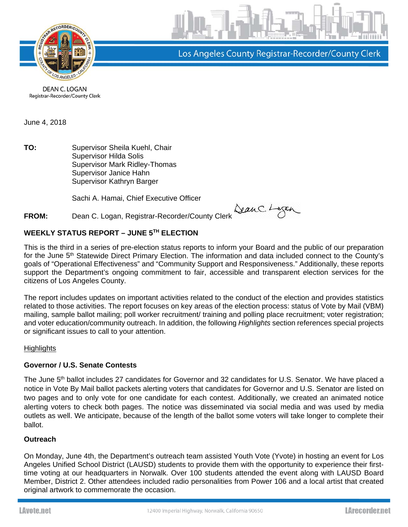

Los Angeles County Registrar-Recorder/County Clerk

DEAN C. LOGAN Registrar-Recorder/County Clerk

June 4, 2018

**TO:** Supervisor Sheila Kuehl, Chair Supervisor Hilda Solis Supervisor Mark Ridley-Thomas Supervisor Janice Hahn Supervisor Kathryn Barger

Sachi A. Hamai, Chief Executive Officer

# **FROM:** Dean C. Logan, Registrar-Recorder/County Clerk

# **WEEKLY STATUS REPORT – JUNE 5TH ELECTION**

This is the third in a series of pre-election status reports to inform your Board and the public of our preparation for the June 5<sup>th</sup> Statewide Direct Primary Election. The information and data included connect to the County's goals of "Operational Effectiveness" and "Community Support and Responsiveness." Additionally, these reports support the Department's ongoing commitment to fair, accessible and transparent election services for the citizens of Los Angeles County.

The report includes updates on important activities related to the conduct of the election and provides statistics related to those activities. The report focuses on key areas of the election process: status of Vote by Mail (VBM) mailing, sample ballot mailing; poll worker recruitment/ training and polling place recruitment; voter registration; and voter education/community outreach. In addition, the following *Highlights* section references special projects or significant issues to call to your attention.

# **Highlights**

# **Governor / U.S. Senate Contests**

The June 5<sup>th</sup> ballot includes 27 candidates for Governor and 32 candidates for U.S. Senator. We have placed a notice in Vote By Mail ballot packets alerting voters that candidates for Governor and U.S. Senator are listed on two pages and to only vote for one candidate for each contest. Additionally, we created an animated notice alerting voters to check both pages. The notice was disseminated via social media and was used by media outlets as well. We anticipate, because of the length of the ballot some voters will take longer to complete their ballot.

# **Outreach**

On Monday, June 4th, the Department's outreach team assisted Youth Vote (Yvote) in hosting an event for Los Angeles Unified School District (LAUSD) students to provide them with the opportunity to experience their firsttime voting at our headquarters in Norwalk. Over 100 students attended the event along with LAUSD Board Member, District 2. Other attendees included radio personalities from Power 106 and a local artist that created original artwork to commemorate the occasion.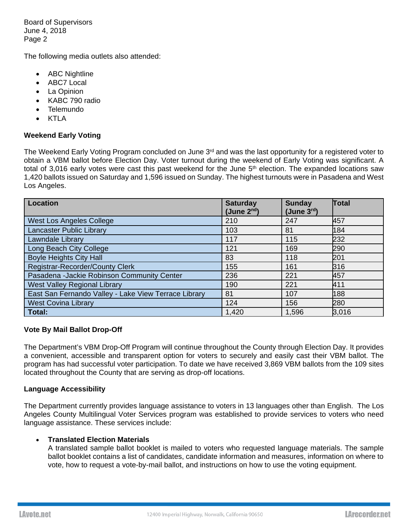The following media outlets also attended:

- ABC Nightline
- ABC7 Local
- La Opinion
- KABC 790 radio
- Telemundo
- KTLA

# **Weekend Early Voting**

The Weekend Early Voting Program concluded on June 3<sup>rd</sup> and was the last opportunity for a registered voter to obtain a VBM ballot before Election Day. Voter turnout during the weekend of Early Voting was significant. A total of 3,016 early votes were cast this past weekend for the June  $5<sup>th</sup>$  election. The expanded locations saw 1,420 ballots issued on Saturday and 1,596 issued on Sunday. The highest turnouts were in Pasadena and West Los Angeles.

| <b>Location</b>                                      | <b>Saturday</b><br>(June $2^{nd}$ ) | <b>Sunday</b><br>(June $3^{\text{rd}}$ ) | Total |
|------------------------------------------------------|-------------------------------------|------------------------------------------|-------|
| West Los Angeles College                             | 210                                 | 247                                      | 457   |
| Lancaster Public Library                             | 103                                 | 81                                       | 184   |
| Lawndale Library                                     | 117                                 | 115                                      | 232   |
| Long Beach City College                              | 121                                 | 169                                      | 290   |
| <b>Boyle Heights City Hall</b>                       | 83                                  | 118                                      | 201   |
| Registrar-Recorder/County Clerk                      | 155                                 | 161                                      | 316   |
| Pasadena - Jackie Robinson Community Center          | 236                                 | 221                                      | 457   |
| <b>West Valley Regional Library</b>                  | 190                                 | 221                                      | 411   |
| East San Fernando Valley - Lake View Terrace Library | 81                                  | 107                                      | 188   |
| <b>West Covina Library</b>                           | 124                                 | 156                                      | 280   |
| Total:                                               | 1,420                               | 1,596                                    | 3,016 |

#### **Vote By Mail Ballot Drop-Off**

The Department's VBM Drop-Off Program will continue throughout the County through Election Day. It provides a convenient, accessible and transparent option for voters to securely and easily cast their VBM ballot. The program has had successful voter participation. To date we have received 3,869 VBM ballots from the 109 sites located throughout the County that are serving as drop-off locations.

#### **Language Accessibility**

The Department currently provides language assistance to voters in 13 languages other than English. The Los Angeles County Multilingual Voter Services program was established to provide services to voters who need language assistance. These services include:

#### **Translated Election Materials**

A translated sample ballot booklet is mailed to voters who requested language materials. The sample ballot booklet contains a list of candidates, candidate information and measures, information on where to vote, how to request a vote-by-mail ballot, and instructions on how to use the voting equipment.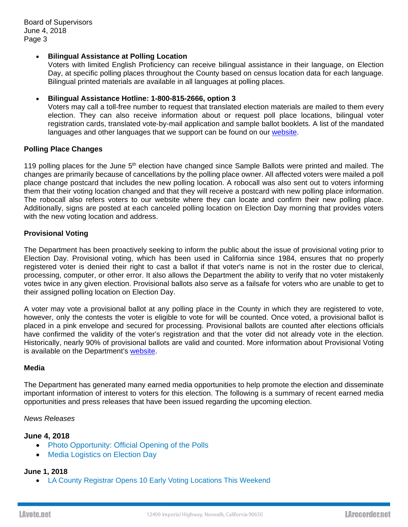#### **Bilingual Assistance at Polling Location**

Voters with limited English Proficiency can receive bilingual assistance in their language, on Election Day, at specific polling places throughout the County based on census location data for each language. Bilingual printed materials are available in all languages at polling places.

#### **Bilingual Assistance Hotline: 1-800-815-2666, option 3**

Voters may call a toll-free number to request that translated election materials are mailed to them every election. They can also receive information about or request poll place locations, bilingual voter registration cards, translated vote-by-mail application and sample ballot booklets. A list of the mandated languages and other languages that we support can be found on our website.

### **Polling Place Changes**

119 polling places for the June 5<sup>th</sup> election have changed since Sample Ballots were printed and mailed. The changes are primarily because of cancellations by the polling place owner. All affected voters were mailed a poll place change postcard that includes the new polling location. A robocall was also sent out to voters informing them that their voting location changed and that they will receive a postcard with new polling place information. The robocall also refers voters to our website where they can locate and confirm their new polling place. Additionally, signs are posted at each canceled polling location on Election Day morning that provides voters with the new voting location and address.

#### **Provisional Voting**

The Department has been proactively seeking to inform the public about the issue of provisional voting prior to Election Day. Provisional voting, which has been used in California since 1984, ensures that no properly registered voter is denied their right to cast a ballot if that voter's name is not in the roster due to clerical, processing, computer, or other error. It also allows the Department the ability to verify that no voter mistakenly votes twice in any given election. Provisional ballots also serve as a failsafe for voters who are unable to get to their assigned polling location on Election Day.

A voter may vote a provisional ballot at any polling place in the County in which they are registered to vote, however, only the contests the voter is eligible to vote for will be counted. Once voted, a provisional ballot is placed in a pink envelope and secured for processing. Provisional ballots are counted after elections officials have confirmed the validity of the voter's registration and that the voter did not already vote in the election. Historically, nearly 90% of provisional ballots are valid and counted. More information about Provisional Voting is available on the Department's website.

#### **Media**

The Department has generated many earned media opportunities to help promote the election and disseminate important information of interest to voters for this election. The following is a summary of recent earned media opportunities and press releases that have been issued regarding the upcoming election.

#### *News Releases*

# **June 4, 2018**

- Photo Opportunity: Official Opening of the Polls
- Media Logistics on Election Day

#### **June 1, 2018**

LA County Registrar Opens 10 Early Voting Locations This Weekend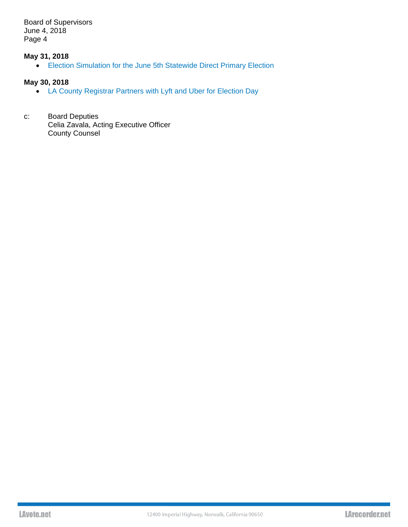# **May 31, 2018**

Election Simulation for the June 5th Statewide Direct Primary Election

# **May 30, 2018**

- LA County Registrar Partners with Lyft and Uber for Election Day
- c: Board Deputies Celia Zavala, Acting Executive Officer County Counsel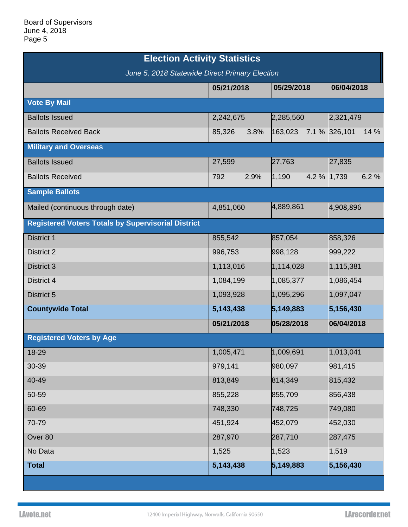| <b>Election Activity Statistics</b>                       |                |                      |                       |  |  |
|-----------------------------------------------------------|----------------|----------------------|-----------------------|--|--|
| June 5, 2018 Statewide Direct Primary Election            |                |                      |                       |  |  |
|                                                           | 05/21/2018     | 05/29/2018           | 06/04/2018            |  |  |
| <b>Vote By Mail</b>                                       |                |                      |                       |  |  |
| <b>Ballots Issued</b>                                     | 2,242,675      | 2,285,560            | 2,321,479             |  |  |
| <b>Ballots Received Back</b>                              | 3.8%<br>85,326 | 163,023              | 14 %<br>7.1 % 326,101 |  |  |
| <b>Military and Overseas</b>                              |                |                      |                       |  |  |
| <b>Ballots Issued</b>                                     | 27,599         | 27,763               | 27,835                |  |  |
| <b>Ballots Received</b>                                   | 2.9%<br>792    | 4.2 % 1,739<br>1,190 | 6.2%                  |  |  |
| <b>Sample Ballots</b>                                     |                |                      |                       |  |  |
| Mailed (continuous through date)                          | 4,851,060      | 4,889,861            | 4,908,896             |  |  |
| <b>Registered Voters Totals by Supervisorial District</b> |                |                      |                       |  |  |
| District 1                                                | 855,542        | 857,054              | 858,326               |  |  |
| <b>District 2</b>                                         | 996,753        | 998,128              | 999,222               |  |  |
| <b>District 3</b>                                         | 1,113,016      | 1,114,028            | 1,115,381             |  |  |
| District 4                                                | 1,084,199      | 1,085,377            | 1,086,454             |  |  |
| District 5                                                | 1,093,928      | 1,095,296            | 1,097,047             |  |  |
| <b>Countywide Total</b>                                   | 5,143,438      | 5,149,883            | 5,156,430             |  |  |
|                                                           | 05/21/2018     | 05/28/2018           | 06/04/2018            |  |  |
| <b>Registered Voters by Age</b>                           |                |                      |                       |  |  |
| 18-29                                                     | 1,005,471      | 1,009,691            | 1,013,041             |  |  |
| 30-39                                                     | 979,141        | 980,097              | 981,415               |  |  |
| 40-49                                                     | 813,849        | 814,349              | 815,432               |  |  |
| 50-59                                                     | 855,228        | 855,709              | 856,438               |  |  |
| 60-69                                                     | 748,330        | 748,725              | 749,080               |  |  |
| 70-79                                                     | 451,924        | 452,079              | 452,030               |  |  |
| Over 80                                                   | 287,970        | 287,710              | 287,475               |  |  |
| No Data                                                   | 1,525          | 1,523                | 1,519                 |  |  |
| <b>Total</b>                                              | 5,143,438      | 5,149,883            | 5,156,430             |  |  |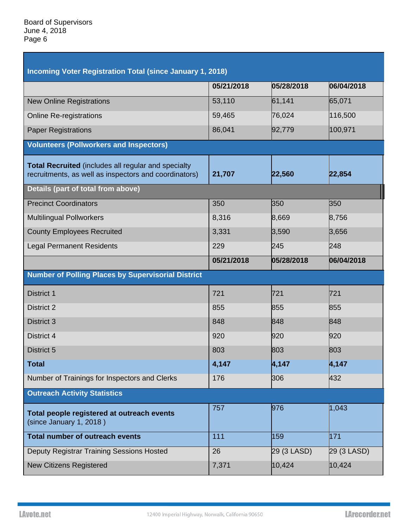| <b>Incoming Voter Registration Total (since January 1, 2018)</b>                                                    |            |             |             |  |  |
|---------------------------------------------------------------------------------------------------------------------|------------|-------------|-------------|--|--|
|                                                                                                                     | 05/21/2018 | 05/28/2018  | 06/04/2018  |  |  |
| <b>New Online Registrations</b>                                                                                     | 53,110     | 61,141      | 65,071      |  |  |
| <b>Online Re-registrations</b>                                                                                      | 59,465     | 76,024      | 116,500     |  |  |
| <b>Paper Registrations</b>                                                                                          | 86,041     | 92,779      | 100,971     |  |  |
| <b>Volunteers (Pollworkers and Inspectors)</b>                                                                      |            |             |             |  |  |
| <b>Total Recruited</b> (includes all regular and specialty<br>recruitments, as well as inspectors and coordinators) | 21,707     | 22,560      | 22,854      |  |  |
| <b>Details (part of total from above)</b>                                                                           |            |             |             |  |  |
| <b>Precinct Coordinators</b>                                                                                        | 350        | 350         | 350         |  |  |
| <b>Multilingual Pollworkers</b>                                                                                     | 8,316      | 8,669       | 8,756       |  |  |
| <b>County Employees Recruited</b>                                                                                   | 3,331      | 3,590       | 3,656       |  |  |
| <b>Legal Permanent Residents</b>                                                                                    | 229        | 245         | 248         |  |  |
|                                                                                                                     | 05/21/2018 | 05/28/2018  | 06/04/2018  |  |  |
|                                                                                                                     |            |             |             |  |  |
| <b>Number of Polling Places by Supervisorial District</b>                                                           |            |             |             |  |  |
| District 1                                                                                                          | 721        | 721         | 721         |  |  |
| <b>District 2</b>                                                                                                   | 855        | 855         | 855         |  |  |
| <b>District 3</b>                                                                                                   | 848        | 848         | 848         |  |  |
| District 4                                                                                                          | 920        | 920         | 920         |  |  |
| <b>District 5</b>                                                                                                   | 803        | 803         | 803         |  |  |
| <b>Total</b>                                                                                                        | 4,147      | 4,147       | 4,147       |  |  |
| Number of Trainings for Inspectors and Clerks                                                                       | 176        | 306         | 432         |  |  |
| <b>Outreach Activity Statistics</b>                                                                                 |            |             |             |  |  |
| Total people registered at outreach events<br>(since January 1, 2018)                                               | 757        | 976         | 1,043       |  |  |
| <b>Total number of outreach events</b>                                                                              | 111        | 159         | 171         |  |  |
| Deputy Registrar Training Sessions Hosted                                                                           | 26         | 29 (3 LASD) | 29 (3 LASD) |  |  |